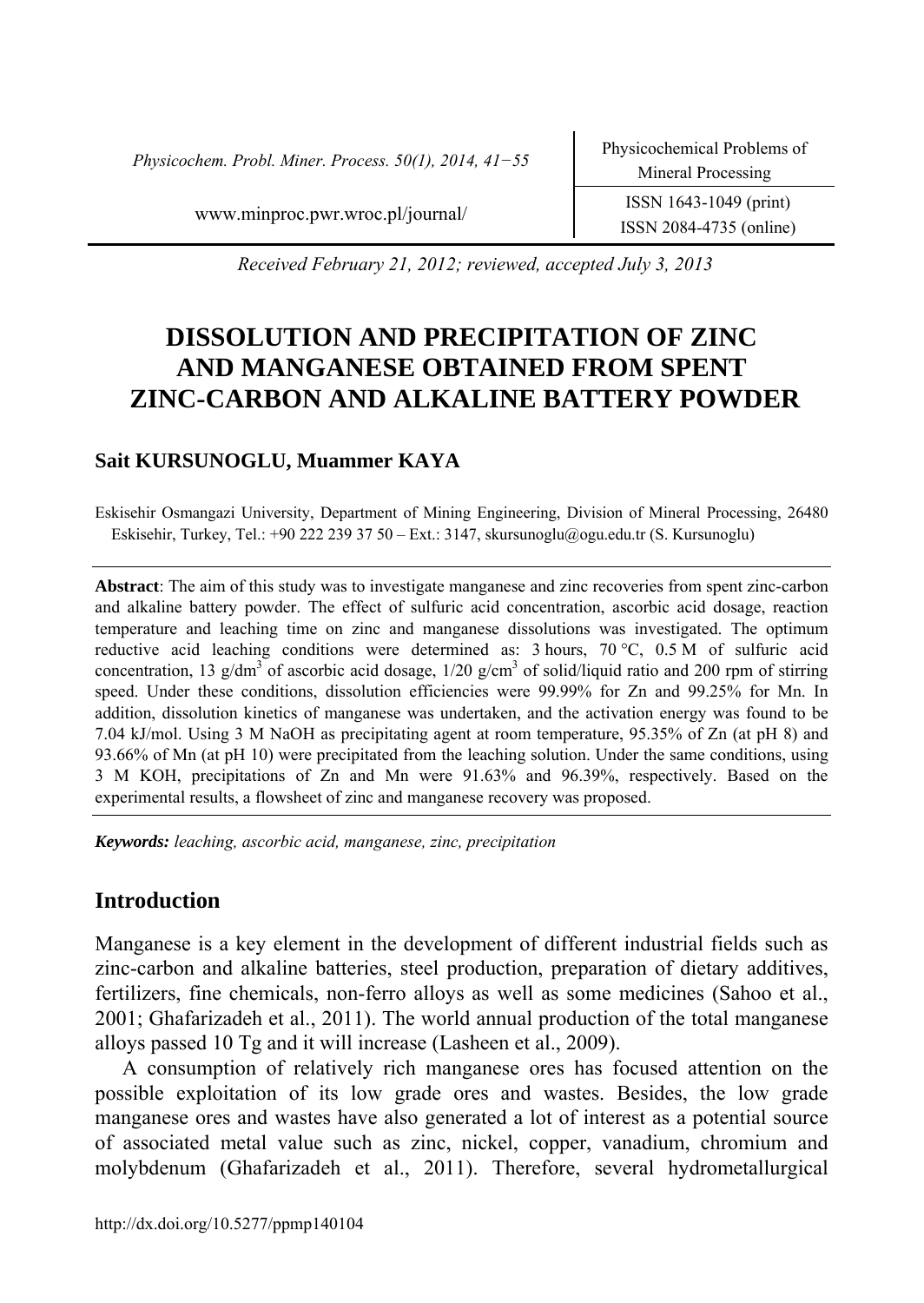*Physicochem. Probl. Miner. Process. 50(1), 2014, 41−55* Physicochemical Problems of

*Received February 21, 2012; reviewed, accepted July 3, 2013* 

# **DISSOLUTION AND PRECIPITATION OF ZINC AND MANGANESE OBTAINED FROM SPENT ZINC-CARBON AND ALKALINE BATTERY POWDER**

# **Sait KURSUNOGLU, Muammer KAYA**

Eskisehir Osmangazi University, Department of Mining Engineering, Division of Mineral Processing, 26480 Eskisehir, Turkey, Tel.: +90 222 239 37 50 – Ext.: 3147, skursunoglu@ogu.edu.tr (S. Kursunoglu)

**Abstract**: The aim of this study was to investigate manganese and zinc recoveries from spent zinc-carbon and alkaline battery powder. The effect of sulfuric acid concentration, ascorbic acid dosage, reaction temperature and leaching time on zinc and manganese dissolutions was investigated. The optimum reductive acid leaching conditions were determined as: 3 hours, 70 °C, 0.5 M of sulfuric acid concentration, 13 g/dm<sup>3</sup> of ascorbic acid dosage,  $1/20$  g/cm<sup>3</sup> of solid/liquid ratio and 200 rpm of stirring speed. Under these conditions, dissolution efficiencies were 99.99% for Zn and 99.25% for Mn. In addition, dissolution kinetics of manganese was undertaken, and the activation energy was found to be 7.04 kJ/mol. Using 3 M NaOH as precipitating agent at room temperature, 95.35% of Zn (at pH 8) and 93.66% of Mn (at pH 10) were precipitated from the leaching solution. Under the same conditions, using 3 M KOH, precipitations of Zn and Mn were 91.63% and 96.39%, respectively. Based on the experimental results, a flowsheet of zinc and manganese recovery was proposed.

*Keywords: leaching, ascorbic acid, manganese, zinc, precipitation* 

# **Introduction**

Manganese is a key element in the development of different industrial fields such as zinc-carbon and alkaline batteries, steel production, preparation of dietary additives, fertilizers, fine chemicals, non-ferro alloys as well as some medicines (Sahoo et al., 2001; Ghafarizadeh et al., 2011). The world annual production of the total manganese alloys passed 10 Tg and it will increase (Lasheen et al., 2009).

A consumption of relatively rich manganese ores has focused attention on the possible exploitation of its low grade ores and wastes. Besides, the low grade manganese ores and wastes have also generated a lot of interest as a potential source of associated metal value such as zinc, nickel, copper, vanadium, chromium and molybdenum (Ghafarizadeh et al., 2011). Therefore, several hydrometallurgical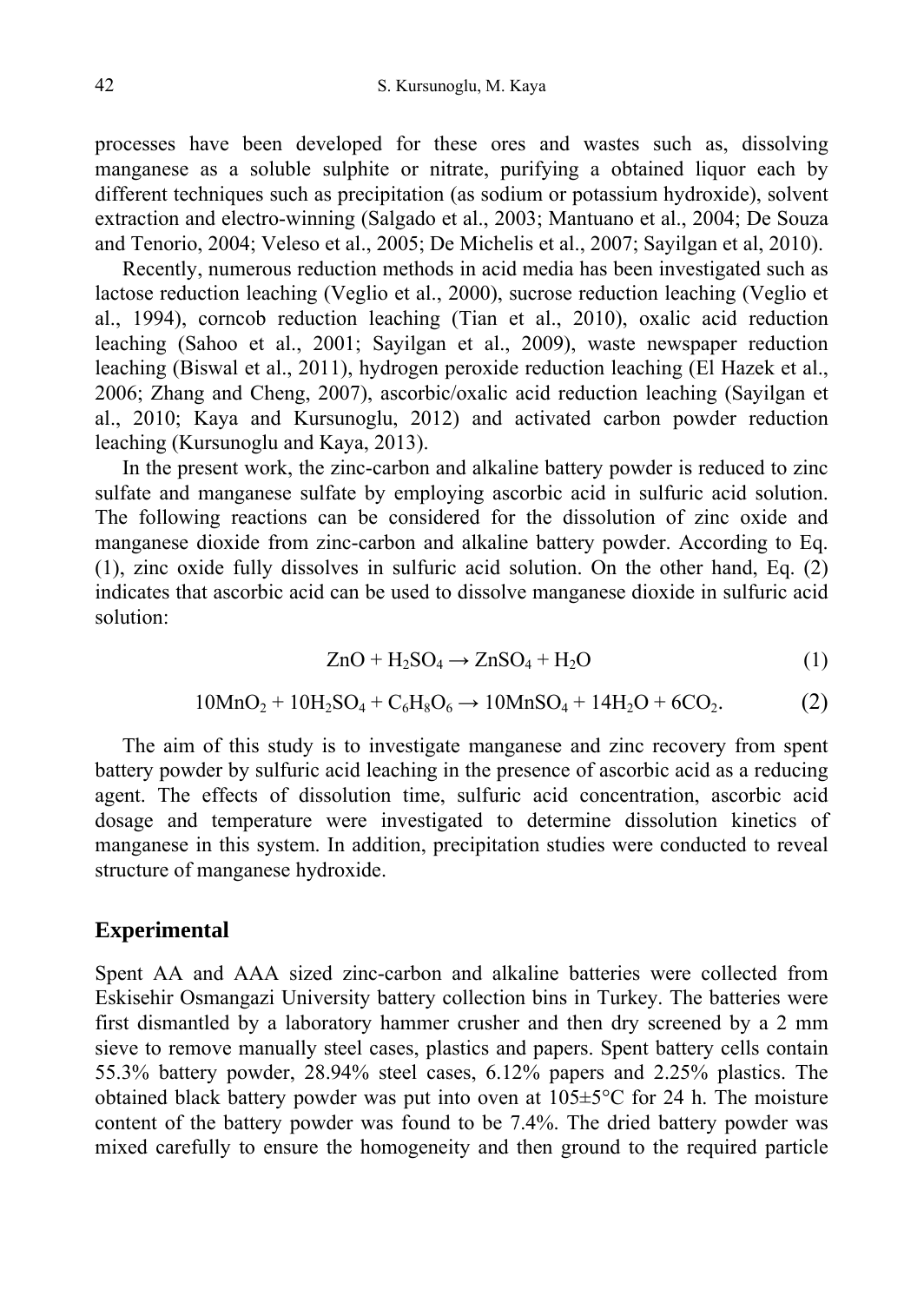processes have been developed for these ores and wastes such as, dissolving manganese as a soluble sulphite or nitrate, purifying a obtained liquor each by different techniques such as precipitation (as sodium or potassium hydroxide), solvent extraction and electro-winning (Salgado et al., 2003; Mantuano et al., 2004; De Souza and Tenorio, 2004; Veleso et al., 2005; De Michelis et al., 2007; Sayilgan et al, 2010).

Recently, numerous reduction methods in acid media has been investigated such as lactose reduction leaching (Veglio et al., 2000), sucrose reduction leaching (Veglio et al., 1994), corncob reduction leaching (Tian et al., 2010), oxalic acid reduction leaching (Sahoo et al., 2001; Sayilgan et al., 2009), waste newspaper reduction leaching (Biswal et al., 2011), hydrogen peroxide reduction leaching (El Hazek et al., 2006; Zhang and Cheng, 2007), ascorbic/oxalic acid reduction leaching (Sayilgan et al., 2010; Kaya and Kursunoglu, 2012) and activated carbon powder reduction leaching (Kursunoglu and Kaya, 2013).

In the present work, the zinc-carbon and alkaline battery powder is reduced to zinc sulfate and manganese sulfate by employing ascorbic acid in sulfuric acid solution. The following reactions can be considered for the dissolution of zinc oxide and manganese dioxide from zinc-carbon and alkaline battery powder. According to Eq. (1), zinc oxide fully dissolves in sulfuric acid solution. On the other hand, Eq. (2) indicates that ascorbic acid can be used to dissolve manganese dioxide in sulfuric acid solution:

$$
ZnO + H_2SO_4 \to ZnSO_4 + H_2O \tag{1}
$$

$$
10MnO_2 + 10H_2SO_4 + C_6H_8O_6 \to 10MnSO_4 + 14H_2O + 6CO_2.
$$
 (2)

The aim of this study is to investigate manganese and zinc recovery from spent battery powder by sulfuric acid leaching in the presence of ascorbic acid as a reducing agent. The effects of dissolution time, sulfuric acid concentration, ascorbic acid dosage and temperature were investigated to determine dissolution kinetics of manganese in this system. In addition, precipitation studies were conducted to reveal structure of manganese hydroxide.

#### **Experimental**

Spent AA and AAA sized zinc-carbon and alkaline batteries were collected from Eskisehir Osmangazi University battery collection bins in Turkey. The batteries were first dismantled by a laboratory hammer crusher and then dry screened by a 2 mm sieve to remove manually steel cases, plastics and papers. Spent battery cells contain 55.3% battery powder, 28.94% steel cases, 6.12% papers and 2.25% plastics. The obtained black battery powder was put into oven at  $105 \pm 5^{\circ}$ C for 24 h. The moisture content of the battery powder was found to be 7.4%. The dried battery powder was mixed carefully to ensure the homogeneity and then ground to the required particle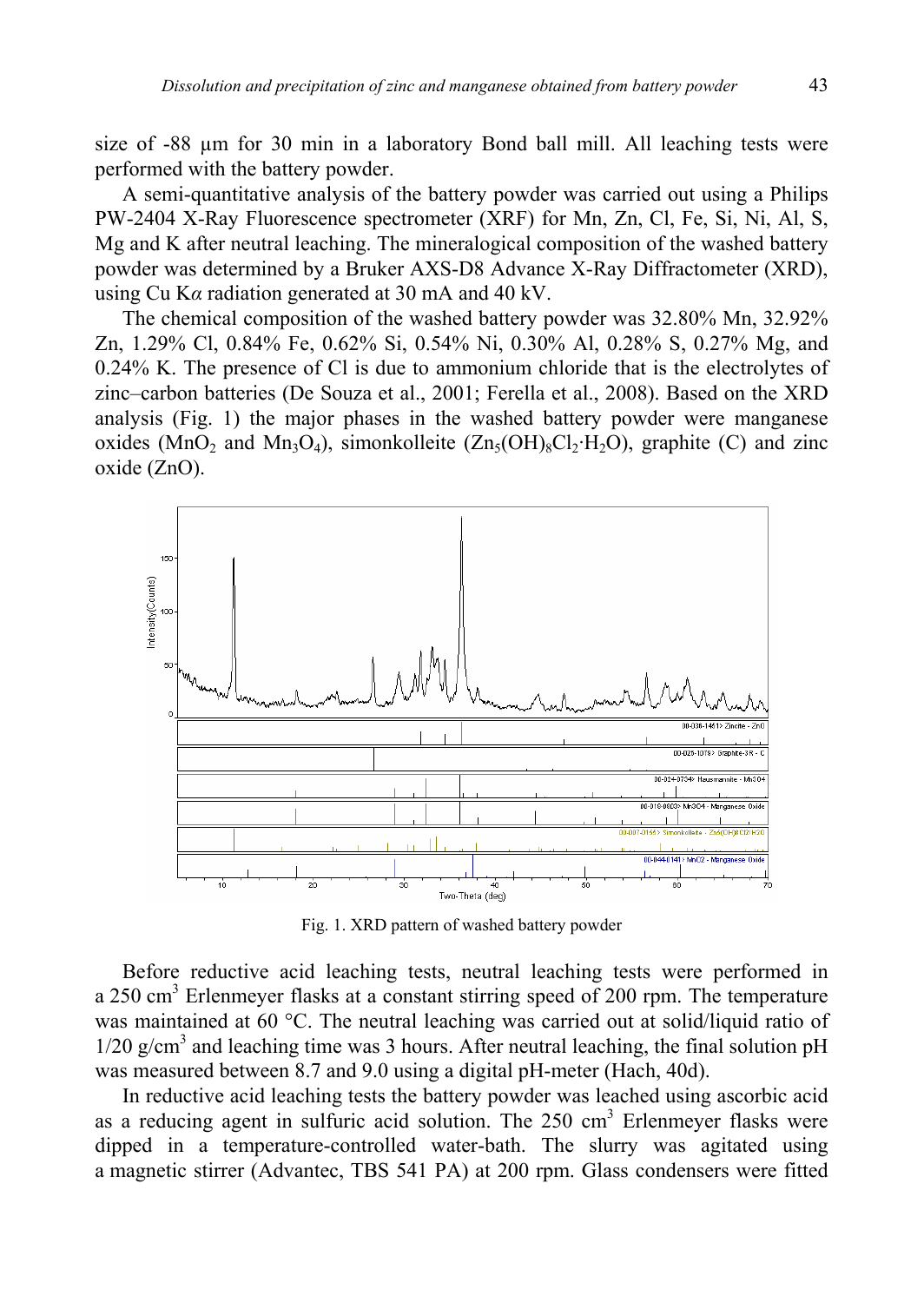size of -88 µm for 30 min in a laboratory Bond ball mill. All leaching tests were performed with the battery powder.

A semi-quantitative analysis of the battery powder was carried out using a Philips PW-2404 X-Ray Fluorescence spectrometer (XRF) for Mn, Zn, Cl, Fe, Si, Ni, Al, S, Mg and K after neutral leaching. The mineralogical composition of the washed battery powder was determined by a Bruker AXS-D8 Advance X-Ray Diffractometer (XRD), using Cu K*α* radiation generated at 30 mA and 40 kV.

The chemical composition of the washed battery powder was 32.80% Mn, 32.92% Zn, 1.29% Cl, 0.84% Fe, 0.62% Si, 0.54% Ni, 0.30% Al, 0.28% S, 0.27% Mg, and 0.24% K. The presence of Cl is due to ammonium chloride that is the electrolytes of zinc–carbon batteries (De Souza et al., 2001; Ferella et al., 2008). Based on the XRD analysis (Fig. 1) the major phases in the washed battery powder were manganese oxides (MnO<sub>2</sub> and Mn<sub>3</sub>O<sub>4</sub>), simonkolleite (Zn<sub>5</sub>(OH)<sub>8</sub>Cl<sub>2</sub>·H<sub>2</sub>O), graphite (C) and zinc oxide (ZnO).



Fig. 1. XRD pattern of washed battery powder

Before reductive acid leaching tests, neutral leaching tests were performed in a 250 cm<sup>3</sup> Erlenmeyer flasks at a constant stirring speed of 200 rpm. The temperature was maintained at 60 °C. The neutral leaching was carried out at solid/liquid ratio of  $1/20$  g/cm<sup>3</sup> and leaching time was 3 hours. After neutral leaching, the final solution pH was measured between 8.7 and 9.0 using a digital pH-meter (Hach, 40d).

In reductive acid leaching tests the battery powder was leached using ascorbic acid as a reducing agent in sulfuric acid solution. The 250 cm<sup>3</sup> Erlenmeyer flasks were dipped in a temperature-controlled water-bath. The slurry was agitated using a magnetic stirrer (Advantec, TBS 541 PA) at 200 rpm. Glass condensers were fitted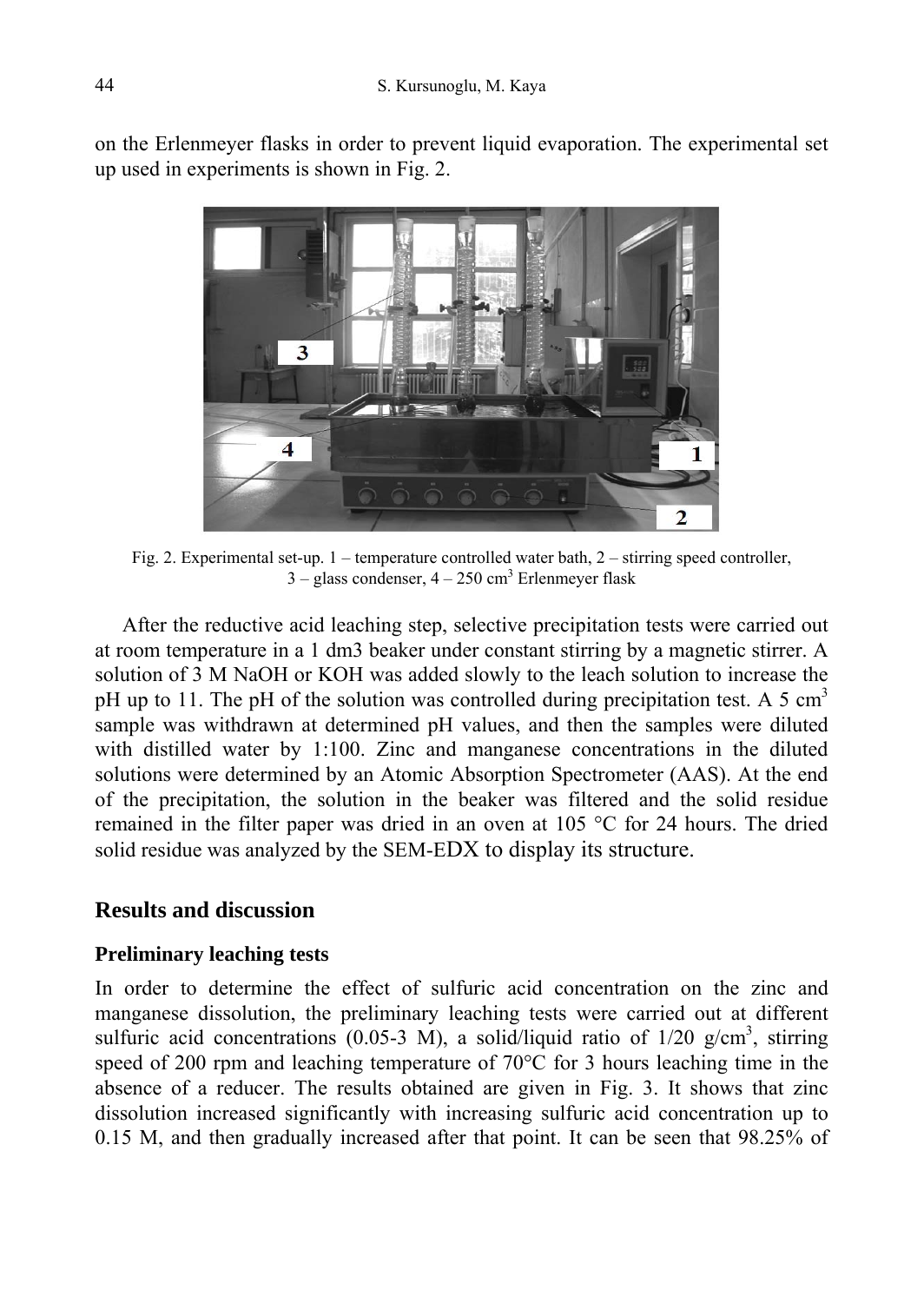on the Erlenmeyer flasks in order to prevent liquid evaporation. The experimental set up used in experiments is shown in Fig. 2.



Fig. 2. Experimental set-up. 1 – temperature controlled water bath, 2 – stirring speed controller,  $3 -$  glass condenser,  $4 - 250$  cm<sup>3</sup> Erlenmeyer flask

After the reductive acid leaching step, selective precipitation tests were carried out at room temperature in a 1 dm3 beaker under constant stirring by a magnetic stirrer. A solution of 3 M NaOH or KOH was added slowly to the leach solution to increase the pH up to 11. The pH of the solution was controlled during precipitation test. A 5 cm<sup>3</sup> sample was withdrawn at determined pH values, and then the samples were diluted with distilled water by 1:100. Zinc and manganese concentrations in the diluted solutions were determined by an Atomic Absorption Spectrometer (AAS). At the end of the precipitation, the solution in the beaker was filtered and the solid residue remained in the filter paper was dried in an oven at 105 °C for 24 hours. The dried solid residue was analyzed by the SEM-EDX to display its structure.

# **Results and discussion**

# **Preliminary leaching tests**

In order to determine the effect of sulfuric acid concentration on the zinc and manganese dissolution, the preliminary leaching tests were carried out at different sulfuric acid concentrations  $(0.05-3 \text{ M})$ , a solid/liquid ratio of  $1/20 \text{ g/cm}^3$ , stirring speed of 200 rpm and leaching temperature of  $70^{\circ}$ C for 3 hours leaching time in the absence of a reducer. The results obtained are given in Fig. 3. It shows that zinc dissolution increased significantly with increasing sulfuric acid concentration up to 0.15 M, and then gradually increased after that point. It can be seen that 98.25% of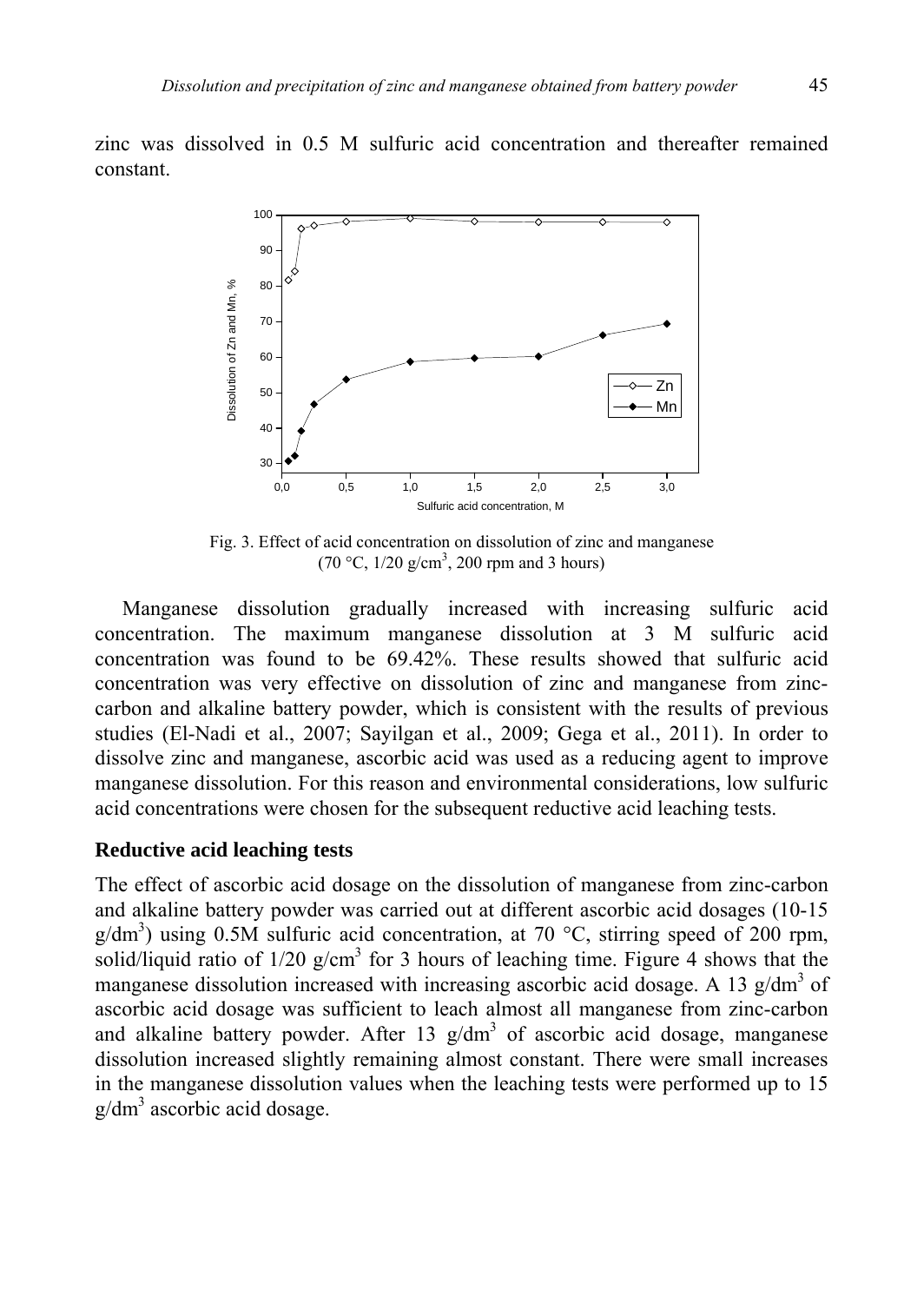zinc was dissolved in 0.5 M sulfuric acid concentration and thereafter remained constant.



Fig. 3. Effect of acid concentration on dissolution of zinc and manganese  $(70 °C, 1/20 g/cm<sup>3</sup>, 200 rpm and 3 hours)$ 

Manganese dissolution gradually increased with increasing sulfuric acid concentration. The maximum manganese dissolution at 3 M sulfuric acid concentration was found to be 69.42%. These results showed that sulfuric acid concentration was very effective on dissolution of zinc and manganese from zinccarbon and alkaline battery powder, which is consistent with the results of previous studies (El-Nadi et al., 2007; Sayilgan et al., 2009; Gega et al., 2011). In order to dissolve zinc and manganese, ascorbic acid was used as a reducing agent to improve manganese dissolution. For this reason and environmental considerations, low sulfuric acid concentrations were chosen for the subsequent reductive acid leaching tests.

#### **Reductive acid leaching tests**

The effect of ascorbic acid dosage on the dissolution of manganese from zinc-carbon and alkaline battery powder was carried out at different ascorbic acid dosages (10-15  $g/dm<sup>3</sup>$ ) using 0.5M sulfuric acid concentration, at 70 °C, stirring speed of 200 rpm, solid/liquid ratio of  $1/20$  g/cm<sup>3</sup> for 3 hours of leaching time. Figure 4 shows that the manganese dissolution increased with increasing ascorbic acid dosage. A 13  $g/dm<sup>3</sup>$  of ascorbic acid dosage was sufficient to leach almost all manganese from zinc-carbon and alkaline battery powder. After 13  $g/dm<sup>3</sup>$  of ascorbic acid dosage, manganese dissolution increased slightly remaining almost constant. There were small increases in the manganese dissolution values when the leaching tests were performed up to 15  $g/dm<sup>3</sup>$  ascorbic acid dosage.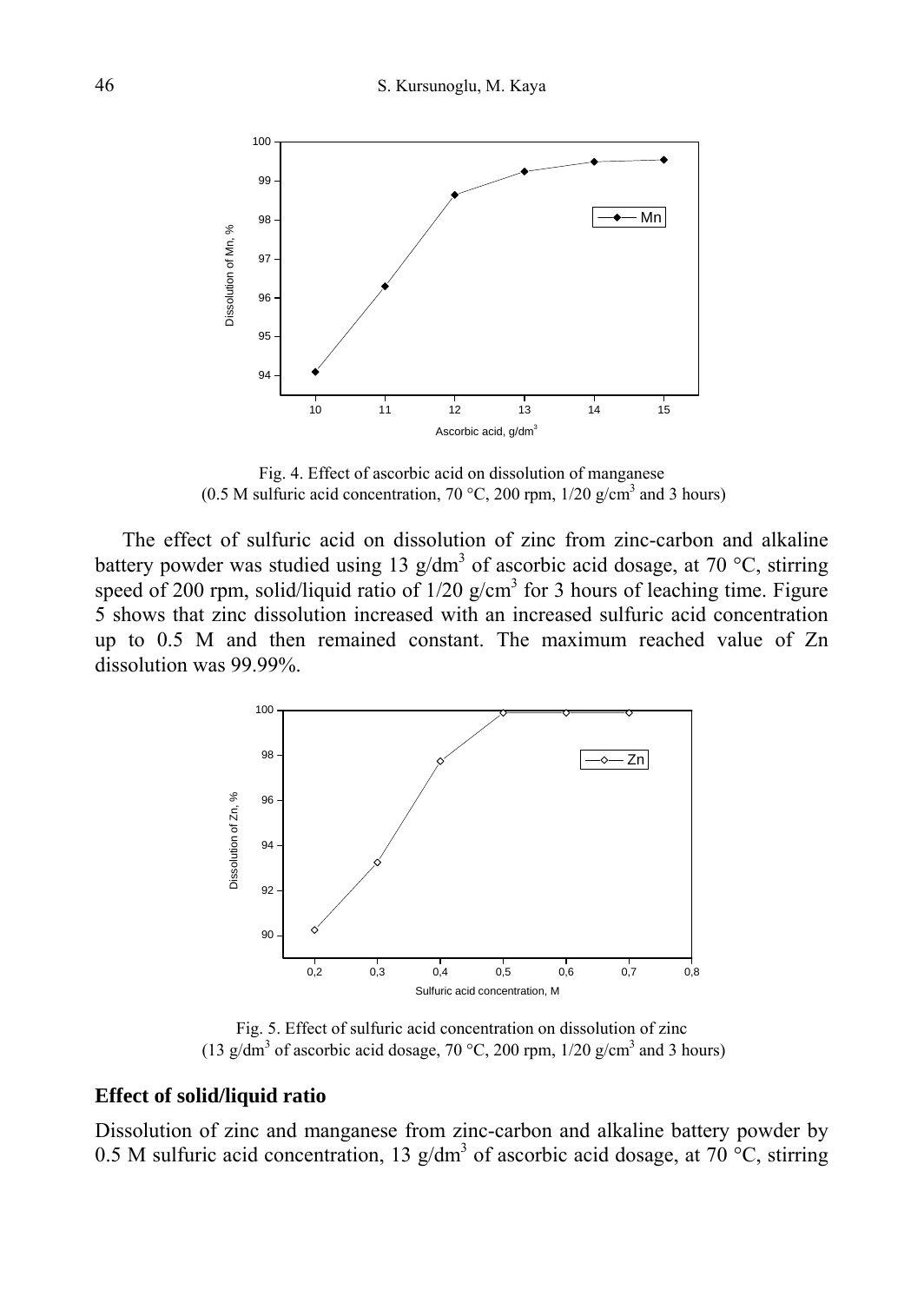

Fig. 4. Effect of ascorbic acid on dissolution of manganese (0.5 M sulfuric acid concentration, 70 °C, 200 rpm,  $1/20$  g/cm<sup>3</sup> and 3 hours)

The effect of sulfuric acid on dissolution of zinc from zinc-carbon and alkaline battery powder was studied using 13  $g/dm<sup>3</sup>$  of ascorbic acid dosage, at 70 °C, stirring speed of 200 rpm, solid/liquid ratio of  $1/20$  g/cm<sup>3</sup> for 3 hours of leaching time. Figure 5 shows that zinc dissolution increased with an increased sulfuric acid concentration up to 0.5 M and then remained constant. The maximum reached value of Zn dissolution was 99.99%.



Fig. 5. Effect of sulfuric acid concentration on dissolution of zinc (13 g/dm<sup>3</sup> of ascorbic acid dosage, 70 °C, 200 rpm,  $1/20$  g/cm<sup>3</sup> and 3 hours)

# **Effect of solid/liquid ratio**

Dissolution of zinc and manganese from zinc-carbon and alkaline battery powder by 0.5 M sulfuric acid concentration, 13 g/dm<sup>3</sup> of ascorbic acid dosage, at 70  $\degree$ C, stirring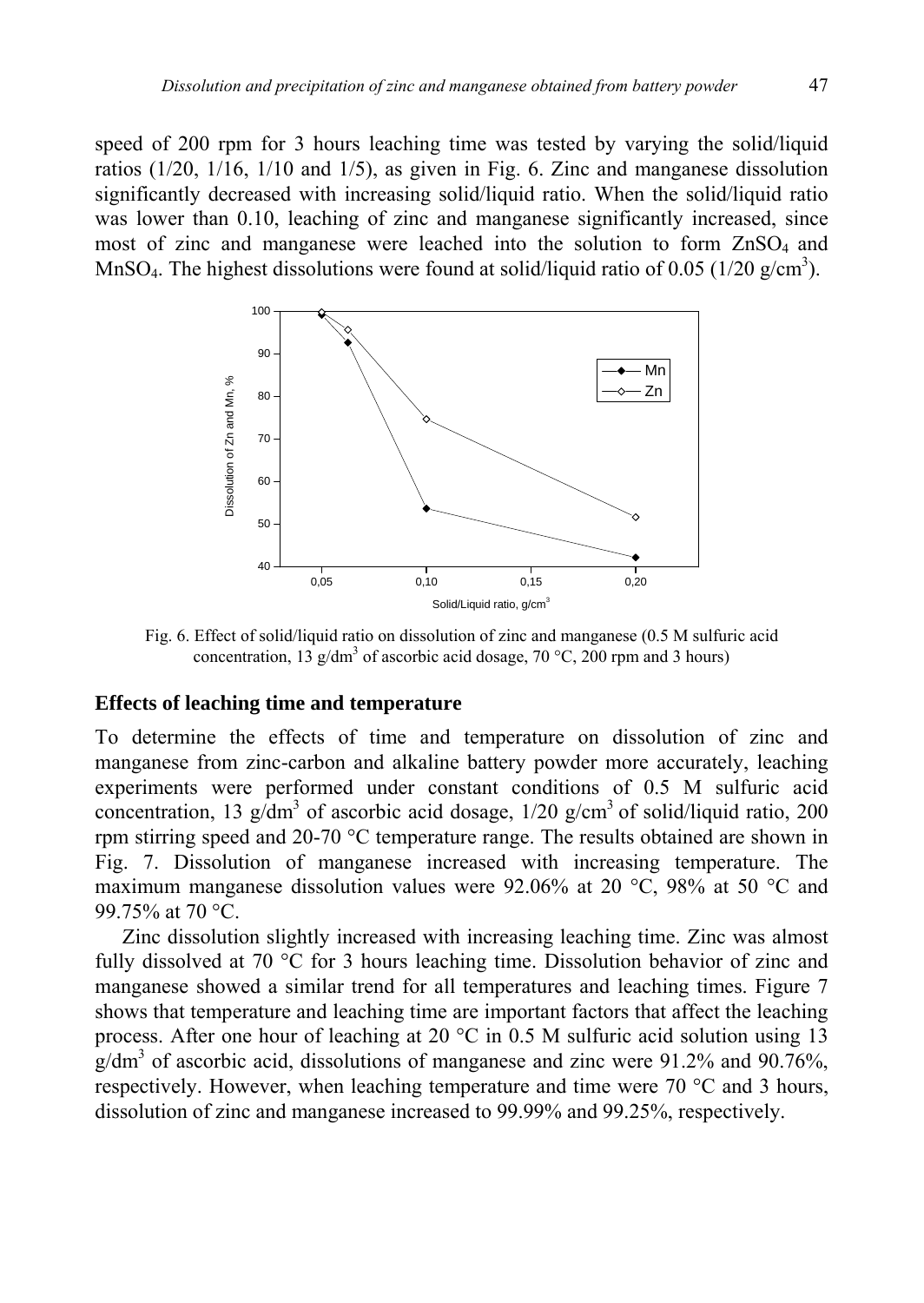speed of 200 rpm for 3 hours leaching time was tested by varying the solid/liquid ratios (1/20, 1/16, 1/10 and 1/5), as given in Fig. 6. Zinc and manganese dissolution significantly decreased with increasing solid/liquid ratio. When the solid/liquid ratio was lower than 0.10, leaching of zinc and manganese significantly increased, since most of zinc and manganese were leached into the solution to form  $ZnSO<sub>4</sub>$  and MnSO<sub>4</sub>. The highest dissolutions were found at solid/liquid ratio of 0.05 (1/20 g/cm<sup>3</sup>).



Fig. 6. Effect of solid/liquid ratio on dissolution of zinc and manganese (0.5 M sulfuric acid concentration, 13 g/dm<sup>3</sup> of ascorbic acid dosage, 70 °C, 200 rpm and 3 hours)

#### **Effects of leaching time and temperature**

To determine the effects of time and temperature on dissolution of zinc and manganese from zinc-carbon and alkaline battery powder more accurately, leaching experiments were performed under constant conditions of 0.5 M sulfuric acid concentration, 13 g/dm<sup>3</sup> of ascorbic acid dosage,  $1/20$  g/cm<sup>3</sup> of solid/liquid ratio, 200 rpm stirring speed and 20-70 °C temperature range. The results obtained are shown in Fig. 7. Dissolution of manganese increased with increasing temperature. The maximum manganese dissolution values were 92.06% at 20 °C, 98% at 50 °C and 99.75% at 70 °C.

Zinc dissolution slightly increased with increasing leaching time. Zinc was almost fully dissolved at 70 °C for 3 hours leaching time. Dissolution behavior of zinc and manganese showed a similar trend for all temperatures and leaching times. Figure 7 shows that temperature and leaching time are important factors that affect the leaching process. After one hour of leaching at 20  $^{\circ}$ C in 0.5 M sulfuric acid solution using 13  $g/dm<sup>3</sup>$  of ascorbic acid, dissolutions of manganese and zinc were 91.2% and 90.76%, respectively. However, when leaching temperature and time were 70 °C and 3 hours, dissolution of zinc and manganese increased to 99.99% and 99.25%, respectively.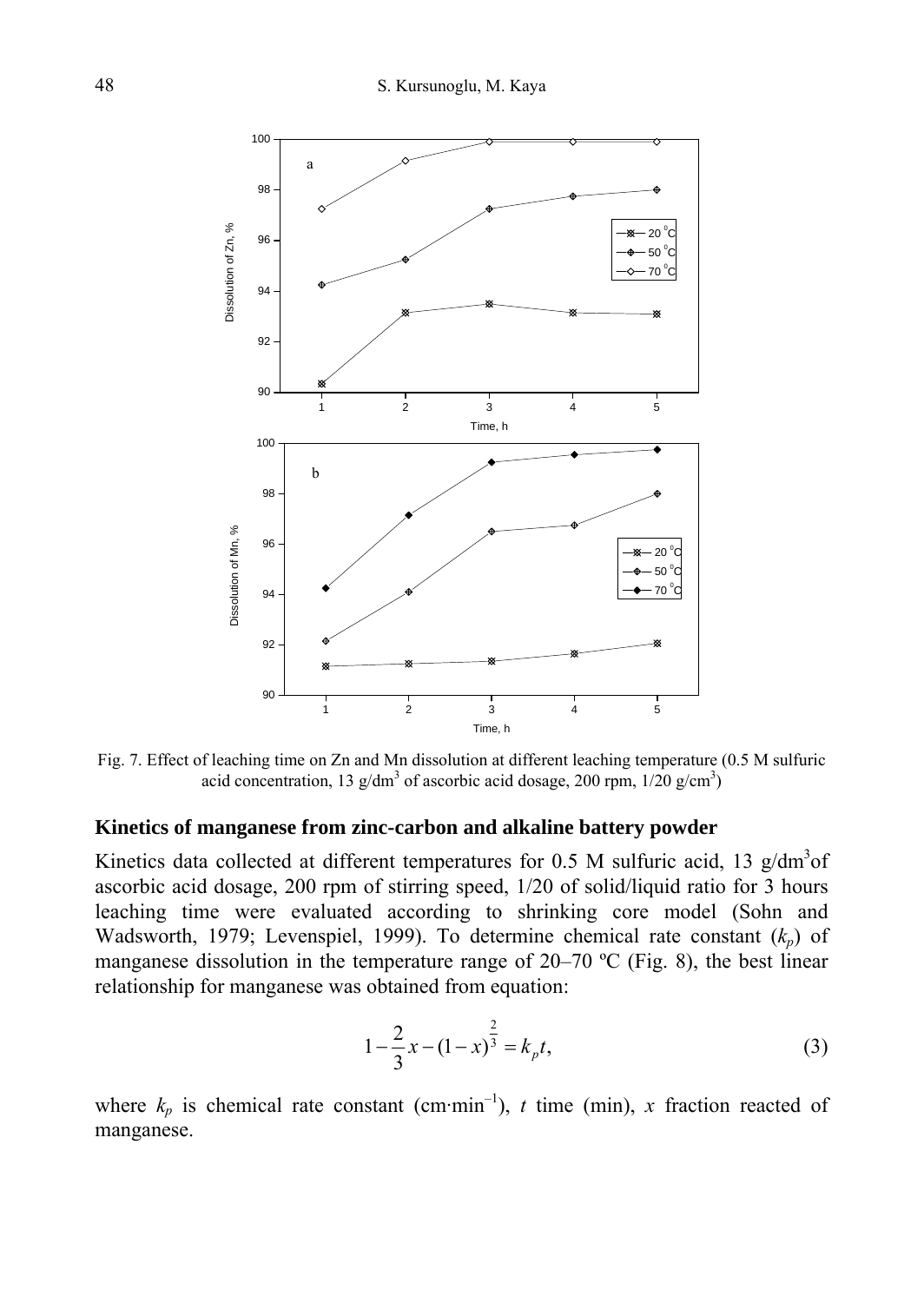

Fig. 7. Effect of leaching time on Zn and Mn dissolution at different leaching temperature (0.5 M sulfuric acid concentration, 13  $g/dm^3$  of ascorbic acid dosage, 200 rpm,  $1/20 g/cm^3$ )

### **Kinetics of manganese from zinc-carbon and alkaline battery powder**

Kinetics data collected at different temperatures for 0.5 M sulfuric acid, 13  $g/dm<sup>3</sup>$ of ascorbic acid dosage, 200 rpm of stirring speed, 1/20 of solid/liquid ratio for 3 hours leaching time were evaluated according to shrinking core model (Sohn and Wadsworth, 1979; Levenspiel, 1999). To determine chemical rate constant ( $k_p$ ) of manganese dissolution in the temperature range of 20–70 ºC (Fig. 8), the best linear relationship for manganese was obtained from equation:

$$
1 - \frac{2}{3}x - (1 - x)^{\frac{2}{3}} = k_{p}t,
$$
\t(3)

where  $k_p$  is chemical rate constant (cm·min<sup>-1</sup>), *t* time (min), *x* fraction reacted of manganese.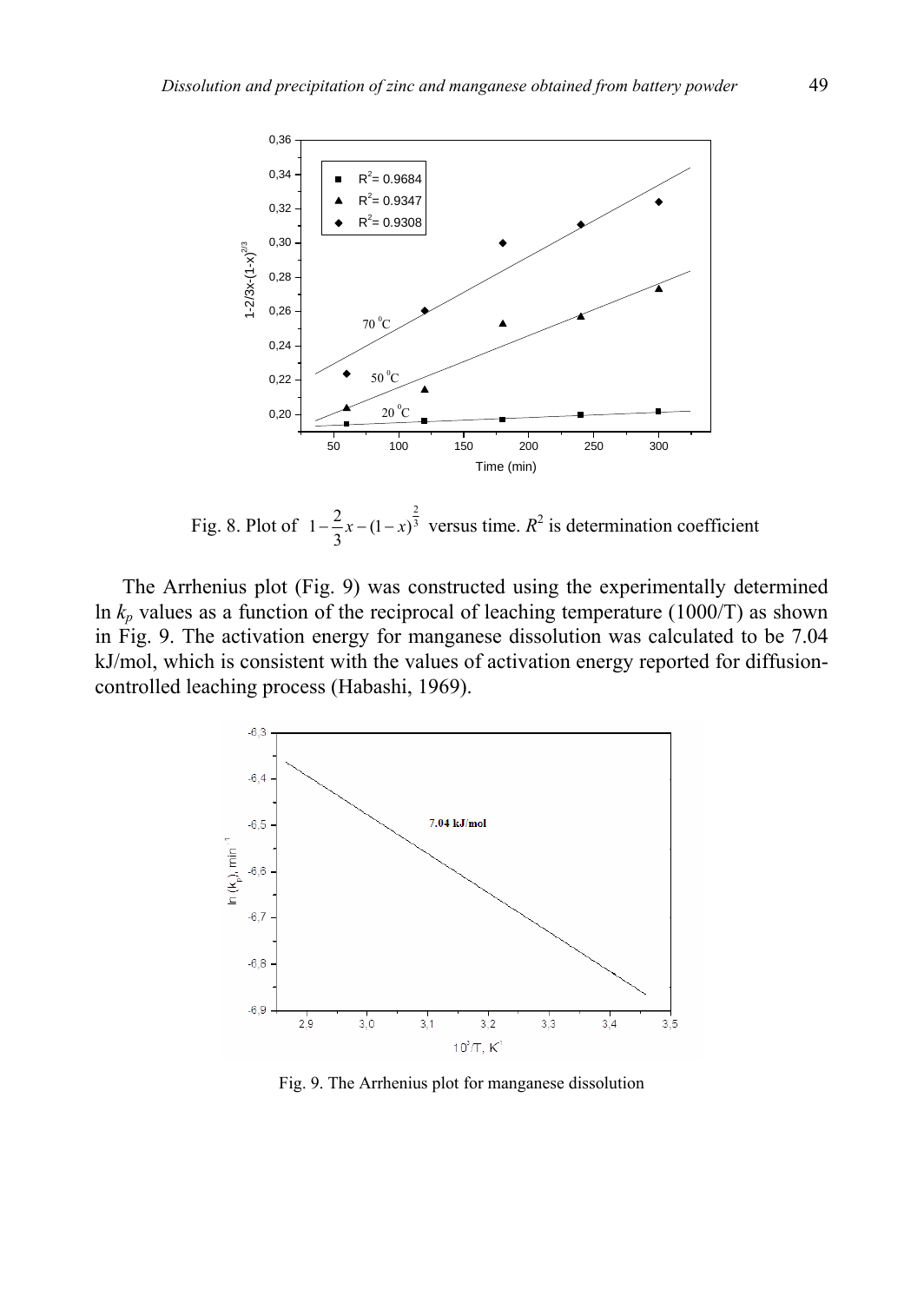

Fig. 8. Plot of  $1 - \frac{2}{3}x - (1 - x)^{\frac{2}{3}}$  versus time.  $R^2$  is determination coefficient

The Arrhenius plot (Fig. 9) was constructed using the experimentally determined ln  $k_p$  values as a function of the reciprocal of leaching temperature (1000/T) as shown in Fig. 9. The activation energy for manganese dissolution was calculated to be 7.04 kJ/mol, which is consistent with the values of activation energy reported for diffusioncontrolled leaching process (Habashi, 1969).



Fig. 9. The Arrhenius plot for manganese dissolution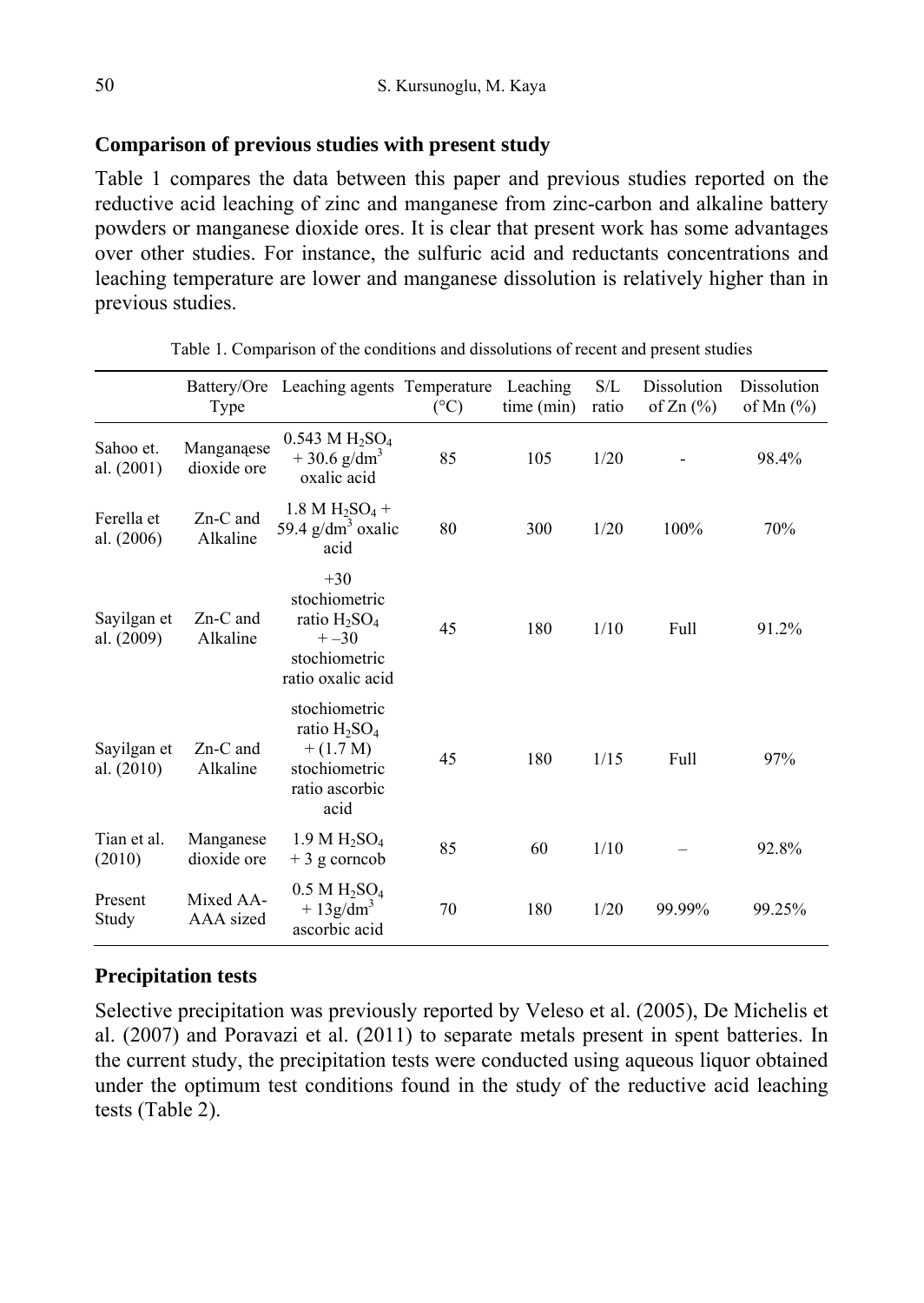## **Comparison of previous studies with present study**

Table 1 compares the data between this paper and previous studies reported on the reductive acid leaching of zinc and manganese from zinc-carbon and alkaline battery powders or manganese dioxide ores. It is clear that present work has some advantages over other studies. For instance, the sulfuric acid and reductants concentrations and leaching temperature are lower and manganese dissolution is relatively higher than in previous studies.

|                           | Type                      | Battery/Ore Leaching agents Temperature                                                                        | $({}^{\circ}C)$ | Leaching<br>time (min) | S/L<br>ratio | Dissolution<br>of $Zn$ $(\%)$ | Dissolution<br>of Mn $(\%)$ |
|---------------------------|---------------------------|----------------------------------------------------------------------------------------------------------------|-----------------|------------------------|--------------|-------------------------------|-----------------------------|
| Sahoo et.<br>al. $(2001)$ | Manganaese<br>dioxide ore | $0.543 M H_2SO_4$<br>$+30.6$ g/dm <sup>3</sup><br>oxalic acid                                                  | 85              | 105                    | 1/20         |                               | 98.4%                       |
| Ferella et<br>al. (2006)  | $Zn-C$ and<br>Alkaline    | $1.8 M H_2SO_4 +$<br>59.4 $g/dm3$ oxalic<br>acid                                                               | 80              | 300                    | 1/20         | 100%                          | 70%                         |
| Sayilgan et<br>al. (2009) | $Zn-C$ and<br>Alkaline    | $+30$<br>stochiometric<br>ratio $H_2SO_4$<br>$+ -30$<br>stochiometric<br>ratio oxalic acid                     | 45              | 180                    | 1/10         | Full                          | 91.2%                       |
| Sayilgan et<br>al. (2010) | Zn-C and<br>Alkaline      | stochiometric<br>ratio H <sub>2</sub> SO <sub>4</sub><br>$+(1.7 M)$<br>stochiometric<br>ratio ascorbic<br>acid | 45              | 180                    | 1/15         | Full                          | 97%                         |
| Tian et al.<br>(2010)     | Manganese<br>dioxide ore  | 1.9 M H <sub>2</sub> SO <sub>4</sub><br>$+3$ g corncob                                                         | 85              | 60                     | 1/10         |                               | 92.8%                       |
| Present<br>Study          | Mixed AA-<br>AAA sized    | $0.5$ M H <sub>2</sub> SO <sub>4</sub><br>$+13g/dm3$<br>ascorbic acid                                          | 70              | 180                    | 1/20         | 99.99%                        | 99.25%                      |

Table 1. Comparison of the conditions and dissolutions of recent and present studies

# **Precipitation tests**

Selective precipitation was previously reported by Veleso et al. (2005), De Michelis et al. (2007) and Poravazi et al. (2011) to separate metals present in spent batteries. In the current study, the precipitation tests were conducted using aqueous liquor obtained under the optimum test conditions found in the study of the reductive acid leaching tests (Table 2).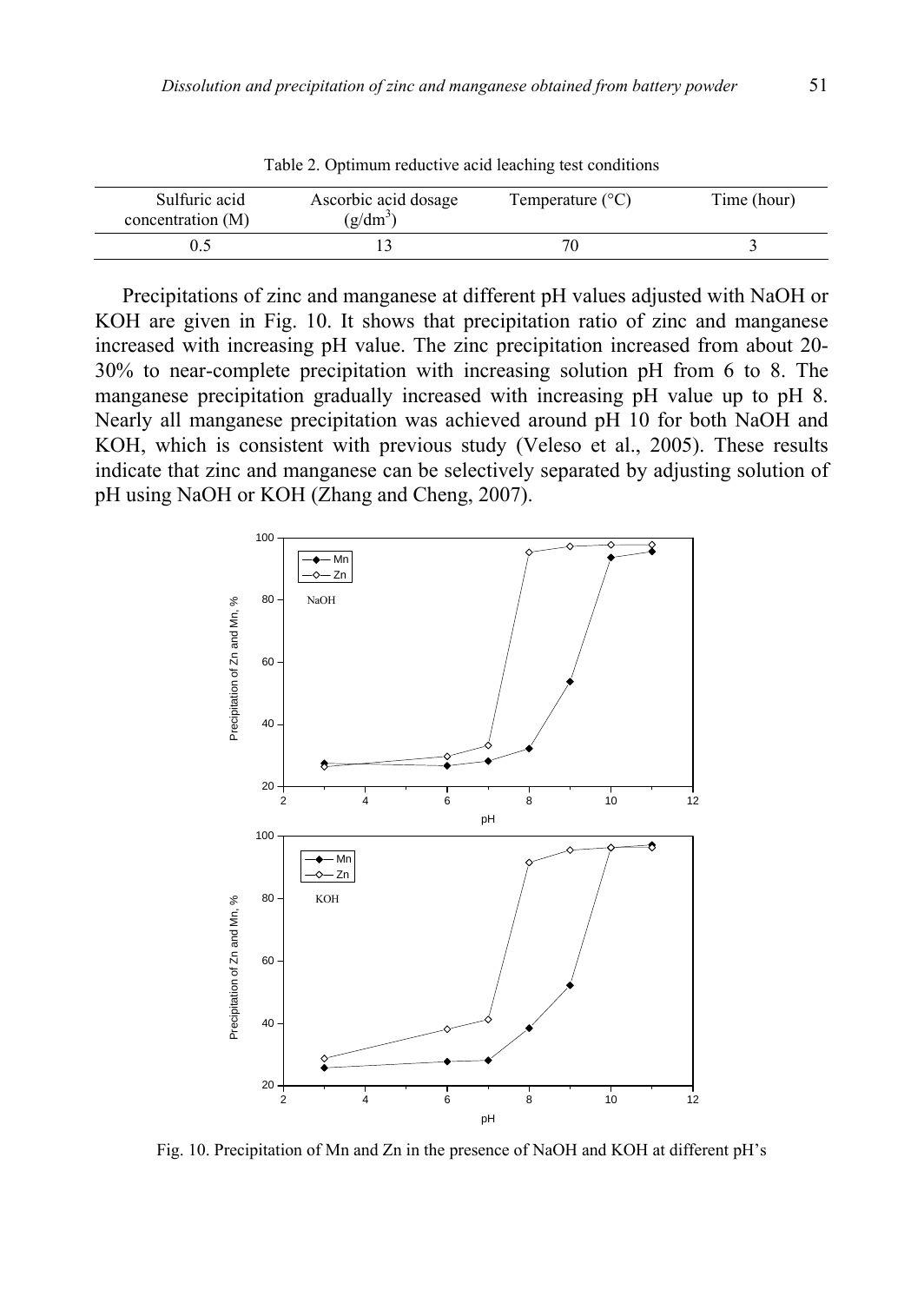|                                    | Tuoto 2. Optimum reugen te geld feuering test conditions |                           |             |
|------------------------------------|----------------------------------------------------------|---------------------------|-------------|
| Sulfuric acid<br>concentration (M) | Ascorbic acid dosage<br>$(g/dm^3)$                       | Temperature $(^{\circ}C)$ | Time (hour) |
|                                    |                                                          |                           |             |

Table 2. Optimum reductive acid leaching test conditions

Precipitations of zinc and manganese at different pH values adjusted with NaOH or KOH are given in Fig. 10. It shows that precipitation ratio of zinc and manganese increased with increasing pH value. The zinc precipitation increased from about 20- 30% to near-complete precipitation with increasing solution pH from 6 to 8. The manganese precipitation gradually increased with increasing pH value up to pH 8. Nearly all manganese precipitation was achieved around pH 10 for both NaOH and KOH, which is consistent with previous study (Veleso et al., 2005). These results indicate that zinc and manganese can be selectively separated by adjusting solution of pH using NaOH or KOH (Zhang and Cheng, 2007).



Fig. 10. Precipitation of Mn and Zn in the presence of NaOH and KOH at different pH's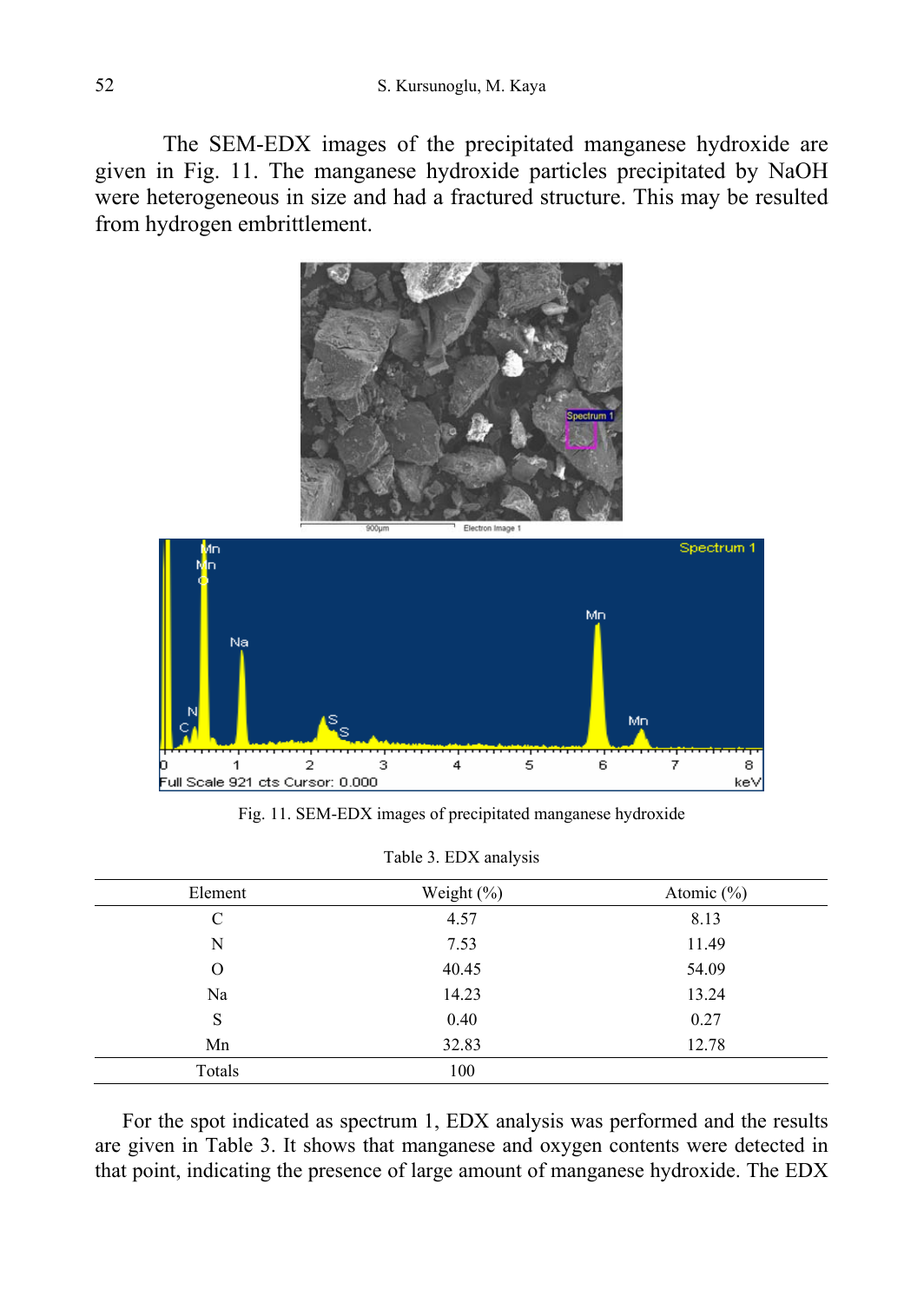The SEM-EDX images of the precipitated manganese hydroxide are given in Fig. 11. The manganese hydroxide particles precipitated by NaOH were heterogeneous in size and had a fractured structure. This may be resulted from hydrogen embrittlement.



Fig. 11. SEM-EDX images of precipitated manganese hydroxide

| Element | Weight $(\% )$ | Atomic $(\% )$ |
|---------|----------------|----------------|
| C       | 4.57           | 8.13           |
| N       | 7.53           | 11.49          |
| O       | 40.45          | 54.09          |
| Na      | 14.23          | 13.24          |
| S       | 0.40           | 0.27           |
| Mn      | 32.83          | 12.78          |
| Totals  | 100            |                |

For the spot indicated as spectrum 1, EDX analysis was performed and the results are given in Table 3. It shows that manganese and oxygen contents were detected in that point, indicating the presence of large amount of manganese hydroxide. The EDX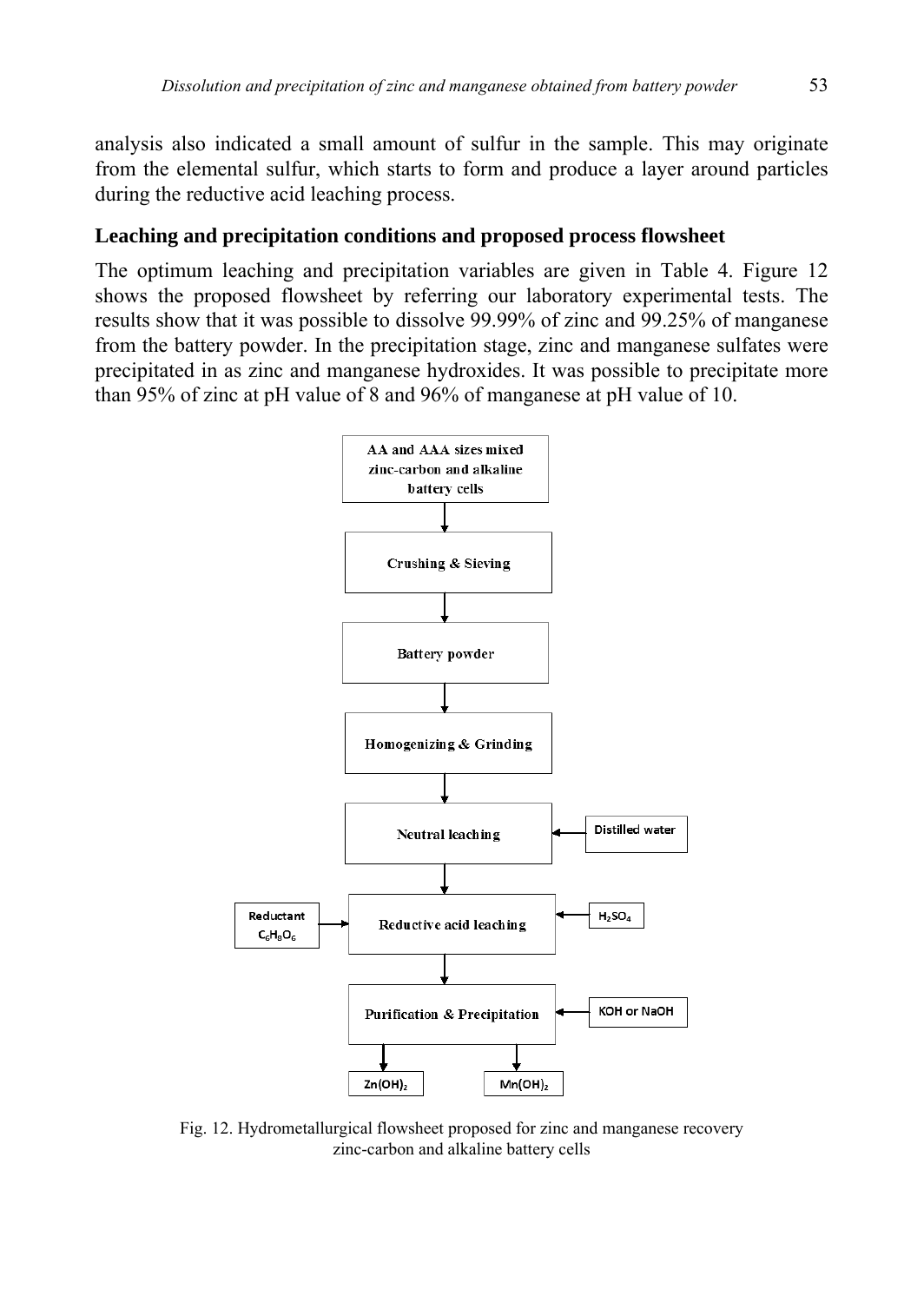analysis also indicated a small amount of sulfur in the sample. This may originate from the elemental sulfur, which starts to form and produce a layer around particles during the reductive acid leaching process.

#### **Leaching and precipitation conditions and proposed process flowsheet**

The optimum leaching and precipitation variables are given in Table 4. Figure 12 shows the proposed flowsheet by referring our laboratory experimental tests. The results show that it was possible to dissolve 99.99% of zinc and 99.25% of manganese from the battery powder. In the precipitation stage, zinc and manganese sulfates were precipitated in as zinc and manganese hydroxides. It was possible to precipitate more than 95% of zinc at pH value of 8 and 96% of manganese at pH value of 10.



Fig. 12. Hydrometallurgical flowsheet proposed for zinc and manganese recovery zinc-carbon and alkaline battery cells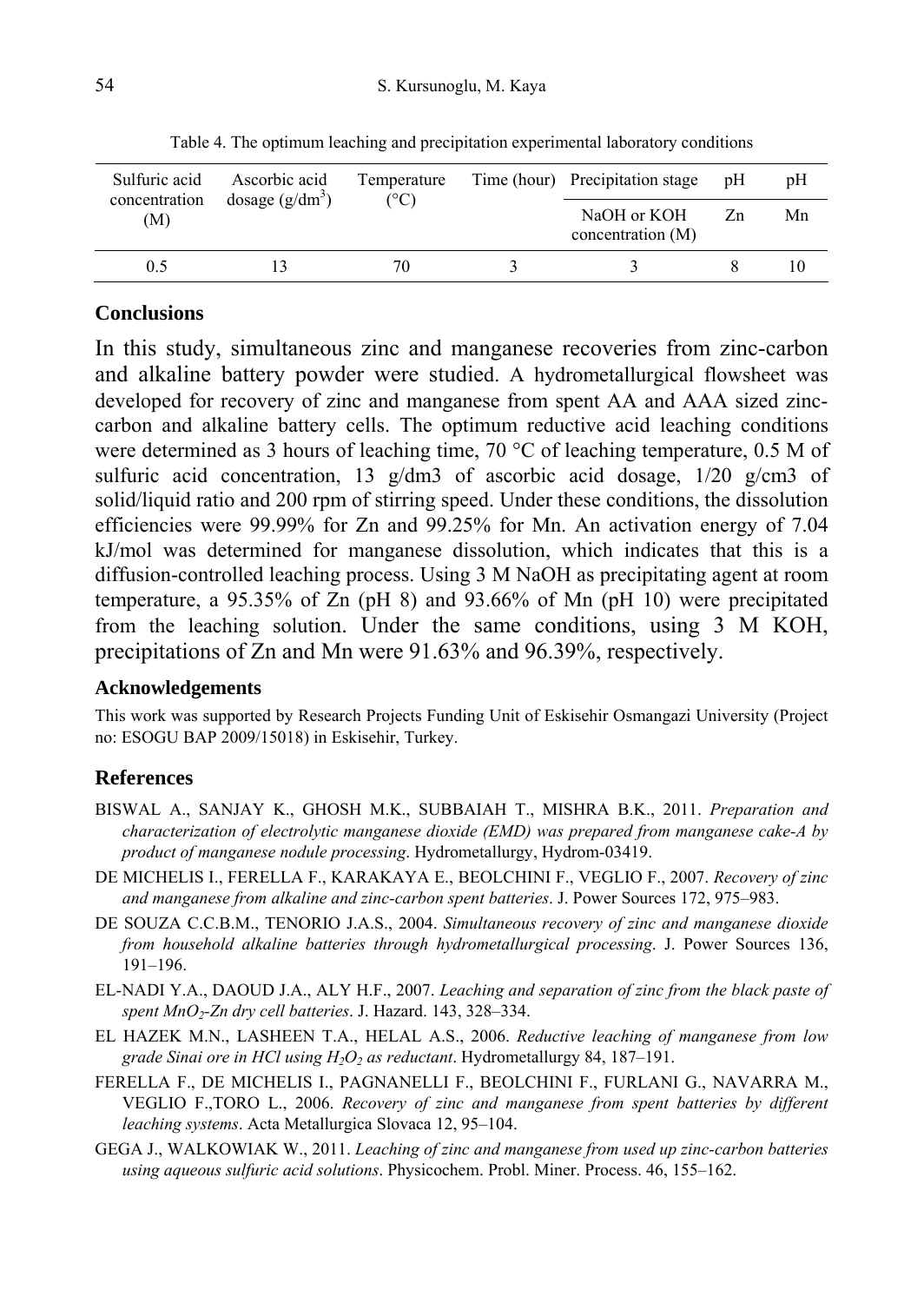| Sulfuric acid<br>concentration | Ascorbic acid<br>dosage $(g/dm^3)$ | Temperature<br>(°C) |  | Time (hour) Precipitation stage  | pH | pΗ |
|--------------------------------|------------------------------------|---------------------|--|----------------------------------|----|----|
| (M)                            |                                    |                     |  | NaOH or KOH<br>concentration (M) | Zn | Mn |
| 0.5                            |                                    | 70                  |  |                                  |    |    |

Table 4. The optimum leaching and precipitation experimental laboratory conditions

### **Conclusions**

In this study, simultaneous zinc and manganese recoveries from zinc-carbon and alkaline battery powder were studied. A hydrometallurgical flowsheet was developed for recovery of zinc and manganese from spent AA and AAA sized zinccarbon and alkaline battery cells. The optimum reductive acid leaching conditions were determined as 3 hours of leaching time, 70 °C of leaching temperature, 0.5 M of sulfuric acid concentration, 13 g/dm3 of ascorbic acid dosage, 1/20 g/cm3 of solid/liquid ratio and 200 rpm of stirring speed. Under these conditions, the dissolution efficiencies were 99.99% for Zn and 99.25% for Mn. An activation energy of 7.04 kJ/mol was determined for manganese dissolution, which indicates that this is a diffusion-controlled leaching process. Using 3 M NaOH as precipitating agent at room temperature, a 95.35% of Zn (pH 8) and 93.66% of Mn (pH 10) were precipitated from the leaching solution. Under the same conditions, using 3 M KOH, precipitations of Zn and Mn were 91.63% and 96.39%, respectively.

#### **Acknowledgements**

This work was supported by Research Projects Funding Unit of Eskisehir Osmangazi University (Project no: ESOGU BAP 2009/15018) in Eskisehir, Turkey.

# **References**

- BISWAL A., SANJAY K., GHOSH M.K., SUBBAIAH T., MISHRA B.K., 2011. *Preparation and characterization of electrolytic manganese dioxide (EMD) was prepared from manganese cake-A by product of manganese nodule processing*. Hydrometallurgy, Hydrom-03419.
- DE MICHELIS I., FERELLA F., KARAKAYA E., BEOLCHINI F., VEGLIO F., 2007. *Recovery of zinc and manganese from alkaline and zinc-carbon spent batteries*. J. Power Sources 172, 975–983.
- DE SOUZA C.C.B.M., TENORIO J.A.S., 2004. *Simultaneous recovery of zinc and manganese dioxide from household alkaline batteries through hydrometallurgical processing*. J. Power Sources 136, 191–196.
- EL-NADI Y.A., DAOUD J.A., ALY H.F., 2007. *Leaching and separation of zinc from the black paste of spent MnO2-Zn dry cell batteries*. J. Hazard. 143, 328–334.
- EL HAZEK M.N., LASHEEN T.A., HELAL A.S., 2006. *Reductive leaching of manganese from low grade Sinai ore in HCl using H2O2 as reductant*. Hydrometallurgy 84, 187–191.
- FERELLA F., DE MICHELIS I., PAGNANELLI F., BEOLCHINI F., FURLANI G., NAVARRA M., VEGLIO F.,TORO L., 2006. *Recovery of zinc and manganese from spent batteries by different leaching systems*. Acta Metallurgica Slovaca 12, 95–104.
- GEGA J., WALKOWIAK W., 2011. *Leaching of zinc and manganese from used up zinc-carbon batteries using aqueous sulfuric acid solutions*. Physicochem. Probl. Miner. Process. 46, 155–162.